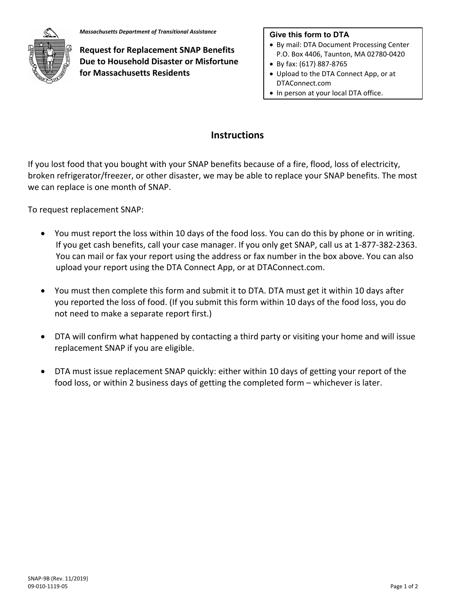

**Request for Replacement SNAP Benefits Due to Household Disaster or Misfortune for Massachusetts Residents**

## **Give this form to DTA**

- By mail: DTA Document Processing Center P.O. Box 4406, Taunton, MA 02780‐0420
- By fax: (617) 887‐8765
- Upload to the DTA Connect App, or at DTAConnect.com
- In person at your local DTA office.

## **Instructions**

If you lost food that you bought with your SNAP benefits because of a fire, flood, loss of electricity, broken refrigerator/freezer, or other disaster, we may be able to replace your SNAP benefits. The most we can replace is one month of SNAP.

To request replacement SNAP:

- You must report the loss within 10 days of the food loss. You can do this by phone or in writing. If you get cash benefits, call your case manager. If you only get SNAP, call us at 1‐877‐382‐2363. You can mail or fax your report using the address or fax number in the box above. You can also upload your report using the DTA Connect App, or at DTAConnect.com.
- You must then complete this form and submit it to DTA. DTA must get it within 10 days after you reported the loss of food. (If you submit this form within 10 days of the food loss, you do not need to make a separate report first.)
- DTA will confirm what happened by contacting a third party or visiting your home and will issue replacement SNAP if you are eligible.
- DTA must issue replacement SNAP quickly: either within 10 days of getting your report of the food loss, or within 2 business days of getting the completed form – whichever is later.